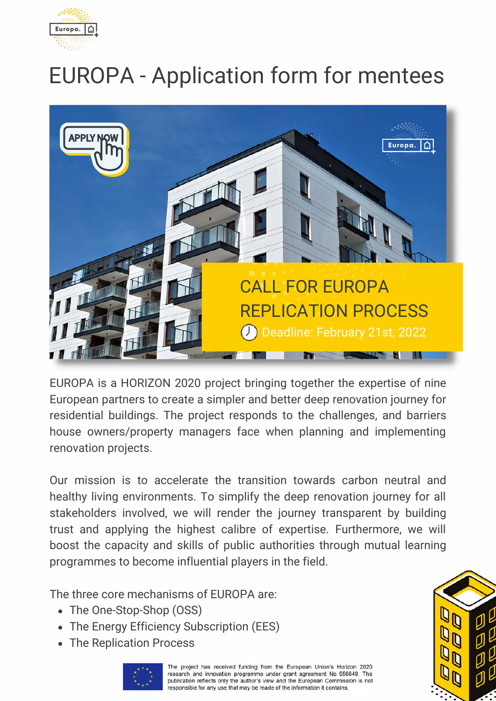

# EUROPA - Application form for mentees



EUROPA is a HORIZON 2020 project bringing together the expertise of nine European partners to create a simpler and better deep renovation journey for residential buildings. The project responds to the challenges, and barriers house owners/property managers face when planning and implementing renovation projects.

Our mission is to accelerate the transition towards carbon neutral and healthy living environments. To simplify the deep renovation journey for all stakeholders involved, we will render the journey transparent by building trust and applying the highest calibre of expertise. Furthermore, we will boost the capacity and skills of public authorities through mutual learning programmes to become influential players in the field.

The three core mechanisms of EUROPA are:

- The One-Stop-Shop (OSS)
- The Energy Efficiency Subscription (EES)
- The Replication Process



The project has received funding from the European Union's Horizon 2020 research and innovation programme under grant agreement No 956649. The publication reflects only the author's view and the European Commission is not responsible for any use that may be made of the information it contains.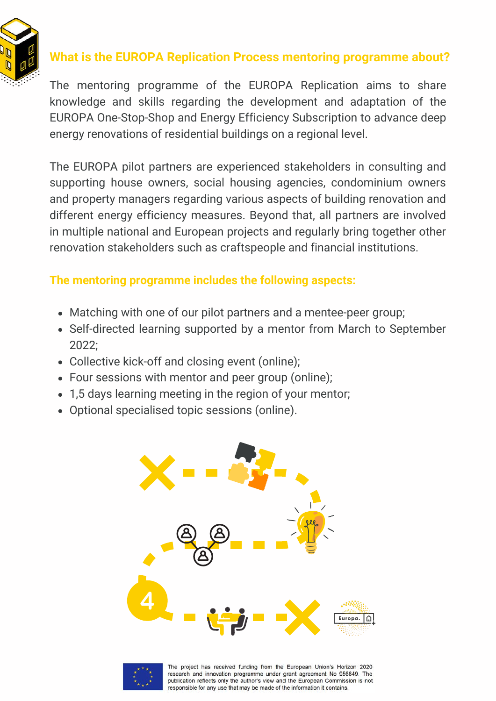

## **What is the EUROPA Replication Process mentoring programme about?**

The mentoring programme of the EUROPA Replication aims to share knowledge and skills regarding the development and adaptation of the EUROPA One-Stop-Shop and Energy Efficiency Subscription to advance deep energy renovations of residential buildings on a regional level.

The EUROPA pilot partners are experienced stakeholders in consulting and supporting house owners, social housing agencies, condominium owners and property managers regarding various aspects of building renovation and different energy efficiency measures. Beyond that, all partners are involved in multiple national and European projects and regularly bring together other renovation stakeholders such as craftspeople and financial institutions.

#### **The mentoring programme includes the following aspects:**

- Matching with one of our pilot partners and a mentee-peer group;
- Self-directed learning supported by a mentor from March to September 2022;
- Collective kick-off and closing event (online);
- Four sessions with mentor and peer group (online);
- 1,5 days learning meeting in the region of your mentor;
- Optional specialised topic sessions (online).





The project has received funding from the European Union's Horizon 2020 research and innovation programme under grant agreement No 956649. The publication reflects only the author's view and the European Commission is not responsible for any use that may be made of the information it contains.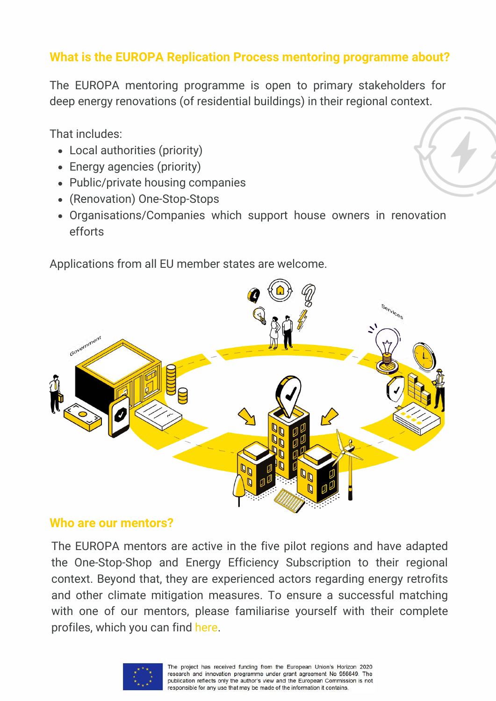### **What is the EUROPA Replication Process mentoring programme about?**

The EUROPA mentoring programme is open to primary stakeholders for deep energy renovations (of residential buildings) in their regional context.

That includes:

- Local authorities (priority)
- Energy agencies (priority)
- Public/private housing companies
- (Renovation) One-Stop-Stops
- Organisations/Companies which support house owners in renovation efforts

Applications from all EU member states are welcome.



#### **Who are our mentors?**

The EUROPA mentors are active in the five pilot regions and have adapted the One-Stop-Shop and Energy Efficiency Subscription to their regional context. Beyond that, they are experienced actors regarding energy retrofits and other climate mitigation measures. To ensure a successful matching with one of our mentors, please familiarise yourself with their complete profiles, which you can find [here](https://europaonestop.eu/pilot-regions/).